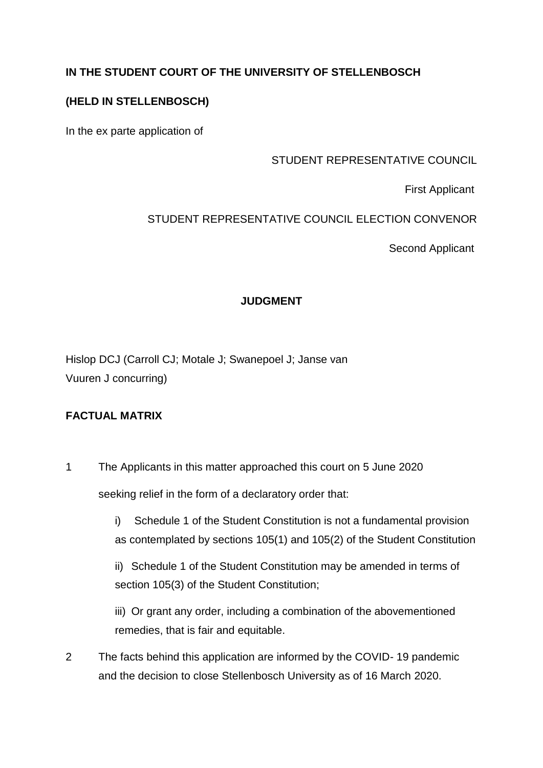# **IN THE STUDENT COURT OF THE UNIVERSITY OF STELLENBOSCH**

## **(HELD IN STELLENBOSCH)**

In the ex parte application of

### STUDENT REPRESENTATIVE COUNCIL

First Applicant

## STUDENT REPRESENTATIVE COUNCIL ELECTION CONVENOR

Second Applicant

## **JUDGMENT**

Hislop DCJ (Carroll CJ; Motale J; Swanepoel J; Janse van Vuuren J concurring)

## **FACTUAL MATRIX**

1 The Applicants in this matter approached this court on 5 June 2020 seeking relief in the form of a declaratory order that:

> i) Schedule 1 of the Student Constitution is not a fundamental provision as contemplated by sections 105(1) and 105(2) of the Student Constitution

ii) Schedule 1 of the Student Constitution may be amended in terms of section 105(3) of the Student Constitution;

iii) Or grant any order, including a combination of the abovementioned remedies, that is fair and equitable.

2 The facts behind this application are informed by the COVID- 19 pandemic and the decision to close Stellenbosch University as of 16 March 2020.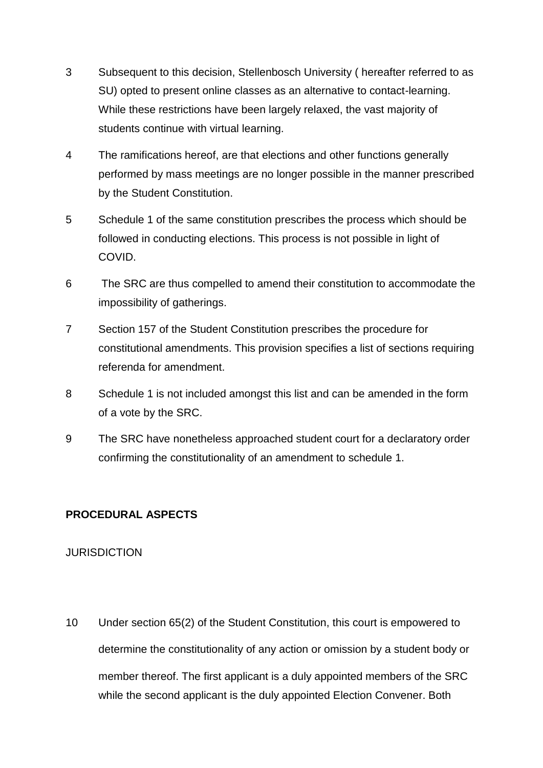- 3 Subsequent to this decision, Stellenbosch University ( hereafter referred to as SU) opted to present online classes as an alternative to contact-learning. While these restrictions have been largely relaxed, the vast majority of students continue with virtual learning.
- 4 The ramifications hereof, are that elections and other functions generally performed by mass meetings are no longer possible in the manner prescribed by the Student Constitution.
- 5 Schedule 1 of the same constitution prescribes the process which should be followed in conducting elections. This process is not possible in light of COVID.
- 6 The SRC are thus compelled to amend their constitution to accommodate the impossibility of gatherings.
- 7 Section 157 of the Student Constitution prescribes the procedure for constitutional amendments. This provision specifies a list of sections requiring referenda for amendment.
- 8 Schedule 1 is not included amongst this list and can be amended in the form of a vote by the SRC.
- 9 The SRC have nonetheless approached student court for a declaratory order confirming the constitutionality of an amendment to schedule 1.

# **PROCEDURAL ASPECTS**

#### **JURISDICTION**

10 Under section 65(2) of the Student Constitution, this court is empowered to determine the constitutionality of any action or omission by a student body or member thereof. The first applicant is a duly appointed members of the SRC while the second applicant is the duly appointed Election Convener. Both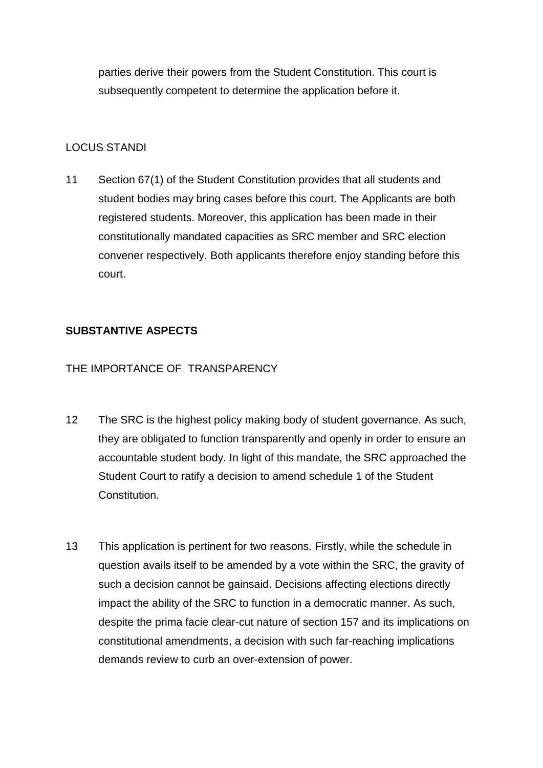parties derive their powers from the Student Constitution. This court is subsequently competent to determine the application before it.

### LOCUS STANDI

11 Section 67(1) of the Student Constitution provides that all students and student bodies may bring cases before this court. The Applicants are both registered students. Moreover, this application has been made in their constitutionally mandated capacities as SRC member and SRC election convener respectively. Both applicants therefore enjoy standing before this court.

## **SUBSTANTIVE ASPECTS**

## THE IMPORTANCE OF TRANSPARENCY

- 12 The SRC is the highest policy making body of student governance. As such, they are obligated to function transparently and openly in order to ensure an accountable student body. In light of this mandate, the SRC approached the Student Court to ratify a decision to amend schedule 1 of the Student Constitution.
- 13 This application is pertinent for two reasons. Firstly, while the schedule in question avails itself to be amended by a vote within the SRC, the gravity of such a decision cannot be gainsaid. Decisions affecting elections directly impact the ability of the SRC to function in a democratic manner. As such, despite the prima facie clear-cut nature of section 157 and its implications on constitutional amendments, a decision with such far-reaching implications demands review to curb an over-extension of power.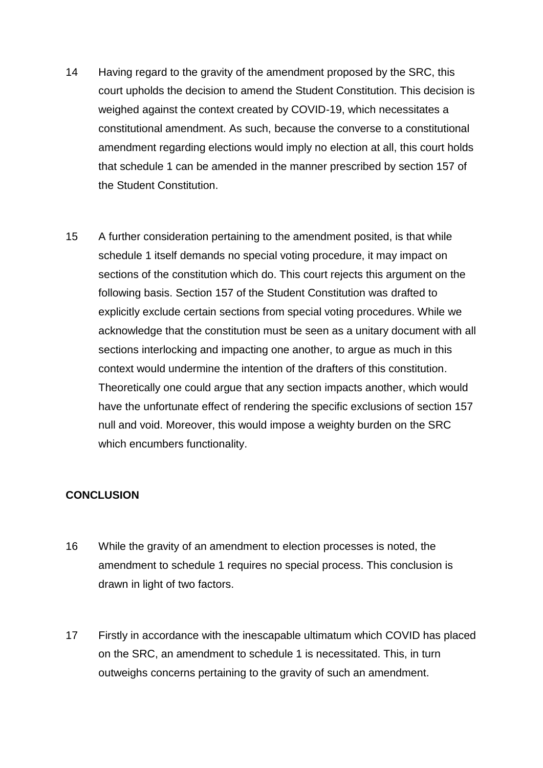- 14 Having regard to the gravity of the amendment proposed by the SRC, this court upholds the decision to amend the Student Constitution. This decision is weighed against the context created by COVID-19, which necessitates a constitutional amendment. As such, because the converse to a constitutional amendment regarding elections would imply no election at all, this court holds that schedule 1 can be amended in the manner prescribed by section 157 of the Student Constitution.
- 15 A further consideration pertaining to the amendment posited, is that while schedule 1 itself demands no special voting procedure, it may impact on sections of the constitution which do. This court rejects this argument on the following basis. Section 157 of the Student Constitution was drafted to explicitly exclude certain sections from special voting procedures. While we acknowledge that the constitution must be seen as a unitary document with all sections interlocking and impacting one another, to argue as much in this context would undermine the intention of the drafters of this constitution. Theoretically one could argue that any section impacts another, which would have the unfortunate effect of rendering the specific exclusions of section 157 null and void. Moreover, this would impose a weighty burden on the SRC which encumbers functionality.

#### **CONCLUSION**

- 16 While the gravity of an amendment to election processes is noted, the amendment to schedule 1 requires no special process. This conclusion is drawn in light of two factors.
- 17 Firstly in accordance with the inescapable ultimatum which COVID has placed on the SRC, an amendment to schedule 1 is necessitated. This, in turn outweighs concerns pertaining to the gravity of such an amendment.